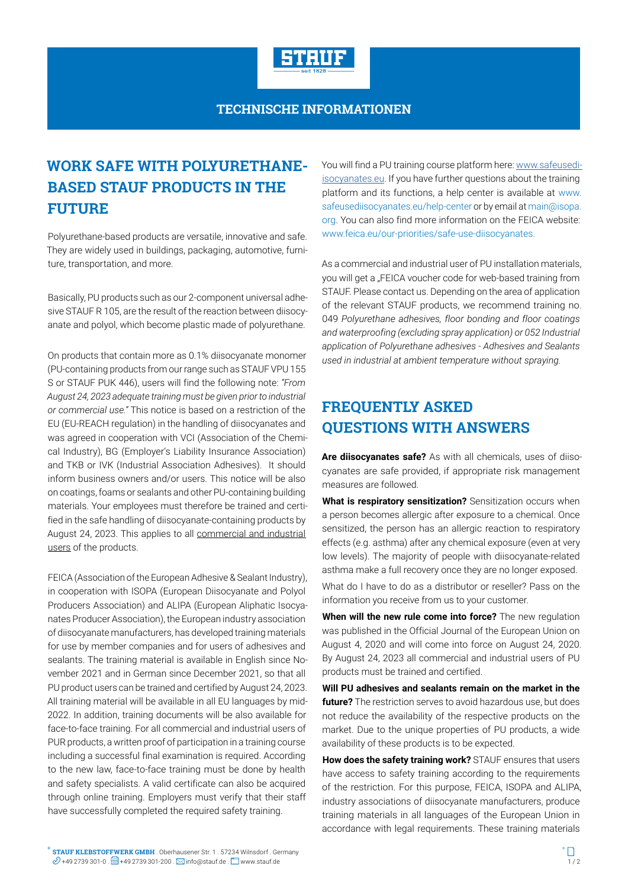

## **TECHNISCHE INFORMATIONEN**

## **WORK SAFE WITH POLYURETHANE-BASED STAUF PRODUCTS IN THE FUTURE**

Polyurethane-based products are versatile, innovative and safe. They are widely used in buildings, packaging, automotive, furniture, transportation, and more.

Basically, PU products such as our 2-component universal adhesive STAUF R 105, are the result of the reaction between diisocyanate and polyol, which become plastic made of polyurethane.

On products that contain more as 0.1% diisocyanate monomer (PU-containing products from our range such as STAUF VPU 155 S or STAUF PUK 446), users will find the following note: *"From August 24, 2023 adequate training must be given prior to industrial or commercial use."* This notice is based on a restriction of the EU (EU-REACH regulation) in the handling of diisocyanates and was agreed in cooperation with VCI (Association of the Chemical Industry), BG (Employer's Liability Insurance Association) and TKB or IVK (Industrial Association Adhesives). It should inform business owners and/or users. This notice will be also on coatings, foams or sealants and other PU-containing building materials. Your employees must therefore be trained and certified in the safe handling of diisocyanate-containing products by August 24, 2023. This applies to all commercial and industrial users of the products.

FEICA (Association of the European Adhesive & Sealant Industry), in cooperation with ISOPA (European Diisocyanate and Polyol Producers Association) and ALIPA (European Aliphatic Isocyanates Producer Association), the European industry association of diisocyanate manufacturers, has developed training materials for use by member companies and for users of adhesives and sealants. The training material is available in English since November 2021 and in German since December 2021, so that all PU product users can be trained and certified by August 24, 2023. All training material will be available in all EU languages by mid-2022. In addition, training documents will be also available for face-to-face training. For all commercial and industrial users of PUR products, a written proof of participation in a training course including a successful final examination is required. According to the new law, face-to-face training must be done by health and safety specialists. A valid certificate can also be acquired through online training. Employers must verify that their staff have successfully completed the required safety training.

You will find a PU training course platform here: [www.safeusedi](www.safeusediisocyanates.eu)[isocyanates.eu](www.safeusediisocyanates.eu). If you have further questions about the training platform and its functions, a help center is available at www. safeusediisocyanates.eu/help-center or by email at main@isopa. org. You can also find more information on the FEICA website: www.feica.eu/our-priorities/safe-use-diisocyanates.

As a commercial and industrial user of PU installation materials, you will get a "FEICA voucher code for web-based training from STAUF. Please contact us. Depending on the area of application of the relevant STAUF products, we recommend training no. 049 *Polyurethane adhesives, floor bonding and floor coatings and waterproofing (excluding spray application) or 052 Industrial application of Polyurethane adhesives - Adhesives and Sealants used in industrial at ambient temperature without spraying.*

## **FREQUENTLY ASKED QUESTIONS WITH ANSWERS**

**Are diisocyanates safe?** As with all chemicals, uses of diisocyanates are safe provided, if appropriate risk management measures are followed.

**What is respiratory sensitization?** Sensitization occurs when a person becomes allergic after exposure to a chemical. Once sensitized, the person has an allergic reaction to respiratory effects (e.g. asthma) after any chemical exposure (even at very low levels). The majority of people with diisocyanate-related asthma make a full recovery once they are no longer exposed.

What do I have to do as a distributor or reseller? Pass on the information you receive from us to your customer.

**When will the new rule come into force?** The new regulation was published in the Official Journal of the European Union on August 4, 2020 and will come into force on August 24, 2020. By August 24, 2023 all commercial and industrial users of PU products must be trained and certified.

**Will PU adhesives and sealants remain on the market in the future?** The restriction serves to avoid hazardous use, but does not reduce the availability of the respective products on the market. Due to the unique properties of PU products, a wide availability of these products is to be expected.

**How does the safety training work?** STAUF ensures that users have access to safety training according to the requirements of the restriction. For this purpose, FEICA, ISOPA and ALIPA, industry associations of diisocyanate manufacturers, produce training materials in all languages of the European Union in accordance with legal requirements. These training materials

**STAUF KLEBSTOFFWERK GMBH** . Oberhausener Str. 1 . 57234 Wilnsdorf . Germany **STAUF KLEBSTOFFWERK GMBH** . Oberhausener Str. 1 . 57234 Wilnsdorf . Germany<br> $\mathcal{O}$  +49 2739 301-0 .  $\boxdot$  +49 2739 301-200 .  $\boxdot$  info@stauf.de .  $\Box$  www.stauf.de